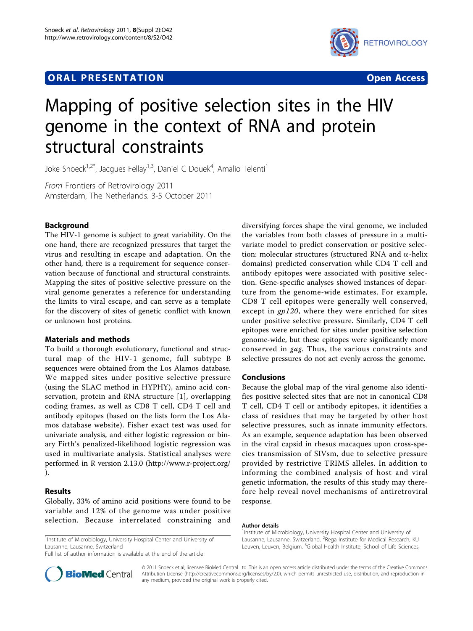# **ORAL PRESENTATION OPEN ACCESS**



# Mapping of positive selection sites in the HIV genome in the context of RNA and protein structural constraints

Joke Snoeck<sup>1,2\*</sup>, Jacgues Fellay<sup>1,3</sup>, Daniel C Douek<sup>4</sup>, Amalio Telenti<sup>1</sup>

From Frontiers of Retrovirology 2011 Amsterdam, The Netherlands. 3-5 October 2011

# Background

The HIV-1 genome is subject to great variability. On the one hand, there are recognized pressures that target the virus and resulting in escape and adaptation. On the other hand, there is a requirement for sequence conservation because of functional and structural constraints. Mapping the sites of positive selective pressure on the viral genome generates a reference for understanding the limits to viral escape, and can serve as a template for the discovery of sites of genetic conflict with known or unknown host proteins.

# Materials and methods

To build a thorough evolutionary, functional and structural map of the HIV-1 genome, full subtype B sequences were obtained from the Los Alamos database. We mapped sites under positive selective pressure (using the SLAC method in HYPHY), amino acid conservation, protein and RNA structure [[1](#page-1-0)], overlapping coding frames, as well as CD8 T cell, CD4 T cell and antibody epitopes (based on the lists form the Los Alamos database website). Fisher exact test was used for univariate analysis, and either logistic regression or binary Firth's penalized-likelihood logistic regression was used in multivariate analysis. Statistical analyses were performed in R version 2.13.0 (http://www.r-project.org/ ).

# Results

Globally, 33% of amino acid positions were found to be variable and 12% of the genome was under positive selection. Because interrelated constraining and

<sup>1</sup>Institute of Microbiology, University Hospital Center and University of Lausanne, Lausanne, Switzerland

Full list of author information is available at the end of the article

diversifying forces shape the viral genome, we included the variables from both classes of pressure in a multivariate model to predict conservation or positive selection: molecular structures (structured RNA and  $\alpha$ -helix domains) predicted conservation while CD4 T cell and antibody epitopes were associated with positive selection. Gene-specific analyses showed instances of departure from the genome-wide estimates. For example, CD8 T cell epitopes were generally well conserved, except in gp120, where they were enriched for sites under positive selective pressure. Similarly, CD4 T cell epitopes were enriched for sites under positive selection genome-wide, but these epitopes were significantly more conserved in gag. Thus, the various constraints and selective pressures do not act evenly across the genome.

### Conclusions

Because the global map of the viral genome also identifies positive selected sites that are not in canonical CD8 T cell, CD4 T cell or antibody epitopes, it identifies a class of residues that may be targeted by other host selective pressures, such as innate immunity effectors. As an example, sequence adaptation has been observed in the viral capsid in rhesus macaques upon cross-species transmission of SIVsm, due to selective pressure provided by restrictive TRIMS alleles. In addition to informing the combined analysis of host and viral genetic information, the results of this study may therefore help reveal novel mechanisms of antiretroviral response.

#### Author details

<sup>1</sup>Institute of Microbiology, University Hospital Center and University of Lausanne, Lausanne, Switzerland. <sup>2</sup> Rega Institute for Medical Research, KU Leuven, Leuven, Belgium. <sup>3</sup>Global Health Institute, School of Life Sciences,



© 2011 Snoeck et al; licensee BioMed Central Ltd. This is an open access article distributed under the terms of the Creative Commons Attribution License [\(http://creativecommons.org/licenses/by/2.0](http://creativecommons.org/licenses/by/2.0)), which permits unrestricted use, distribution, and reproduction in any medium, provided the original work is properly cited.